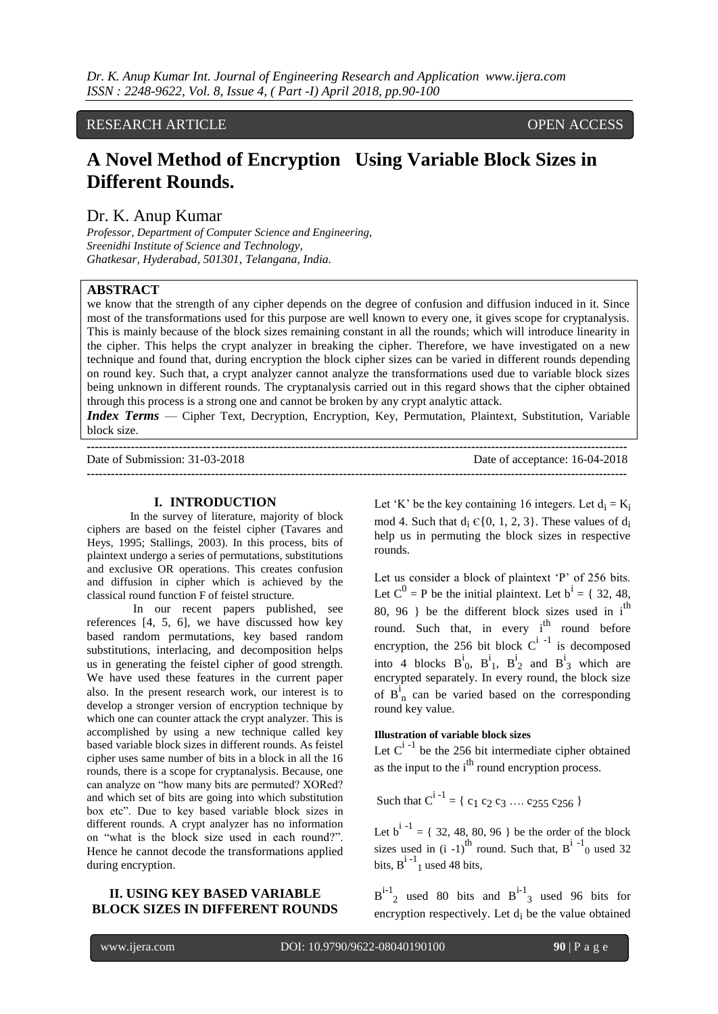# RESEARCH ARTICLE OPEN ACCESS

# **A Novel Method of Encryption Using Variable Block Sizes in Different Rounds.**

### Dr. K. Anup Kumar

*Professor, Department of Computer Science and Engineering, Sreenidhi Institute of Science and Technology, Ghatkesar, Hyderabad, 501301, Telangana, India.*

#### **ABSTRACT**

we know that the strength of any cipher depends on the degree of confusion and diffusion induced in it. Since most of the transformations used for this purpose are well known to every one, it gives scope for cryptanalysis. This is mainly because of the block sizes remaining constant in all the rounds; which will introduce linearity in the cipher. This helps the crypt analyzer in breaking the cipher. Therefore, we have investigated on a new technique and found that, during encryption the block cipher sizes can be varied in different rounds depending on round key. Such that, a crypt analyzer cannot analyze the transformations used due to variable block sizes being unknown in different rounds. The cryptanalysis carried out in this regard shows that the cipher obtained through this process is a strong one and cannot be broken by any crypt analytic attack.

*Index Terms* — Cipher Text, Decryption, Encryption, Key, Permutation, Plaintext, Substitution, Variable block size.

| Date of Submission: 31-03-2018 | Date of acceptance: 16-04-2018 |
|--------------------------------|--------------------------------|
|                                |                                |

#### **I. INTRODUCTION**

In the survey of literature, majority of block ciphers are based on the feistel cipher (Tavares and Heys, 1995; Stallings, 2003). In this process, bits of plaintext undergo a series of permutations, substitutions and exclusive OR operations. This creates confusion and diffusion in cipher which is achieved by the classical round function F of feistel structure.

In our recent papers published, see references [4, 5, 6], we have discussed how key based random permutations, key based random substitutions, interlacing, and decomposition helps us in generating the feistel cipher of good strength. We have used these features in the current paper also. In the present research work, our interest is to develop a stronger version of encryption technique by which one can counter attack the crypt analyzer. This is accomplished by using a new technique called key based variable block sizes in different rounds. As feistel cipher uses same number of bits in a block in all the 16 rounds, there is a scope for cryptanalysis. Because, one can analyze on "how many bits are permuted? XORed? and which set of bits are going into which substitution box etc". Due to key based variable block sizes in different rounds. A crypt analyzer has no information on "what is the block size used in each round?". Hence he cannot decode the transformations applied during encryption.

#### **II. USING KEY BASED VARIABLE BLOCK SIZES IN DIFFERENT ROUNDS**

Let 'K' be the key containing 16 integers. Let  $d_i = K_i$ mod 4. Such that  $d_i \in \{0, 1, 2, 3\}$ . These values of  $d_i$ help us in permuting the block sizes in respective rounds.

Let us consider a block of plaintext 'P' of 256 bits. Let  $C^0$  = P be the initial plaintext. Let  $b^i = \{32, 48,$ 80, 96 } be the different block sizes used in  $i<sup>th</sup>$ round. Such that, in every i<sup>th</sup> round before encryption, the 256 bit block  $C^{i-1}$  is decomposed into 4 blocks  $B_0^i$ ,  $B_1^i$ ,  $B_2^i$  and  $B_3^i$  which are encrypted separately. In every round, the block size of  $B_n^i$  can be varied based on the corresponding round key value.

## **Illustration of variable block sizes**

Let  $C^{i-1}$  be the 256 bit intermediate cipher obtained as the input to the  $i<sup>th</sup>$  round encryption process.

Such that  $C^{i-1} = \{c_1 c_2 c_3 \dots c_{255} c_{256}\}$ 

Let  $b^{i-1} = \{ 32, 48, 80, 96 \}$  be the order of the block sizes used in  $(i -1)$ <sup>th</sup> round. Such that,  $B^{i-1}$ <sub>0</sub> used 32 bits,  $B^{i-1}$ <sub>1</sub> used 48 bits,

 $B^{i-1}$ <sub>2</sub> used 80 bits and  $B^{i-1}$ <sub>3</sub> used 96 bits for encryption respectively. Let  $d_i$  be the value obtained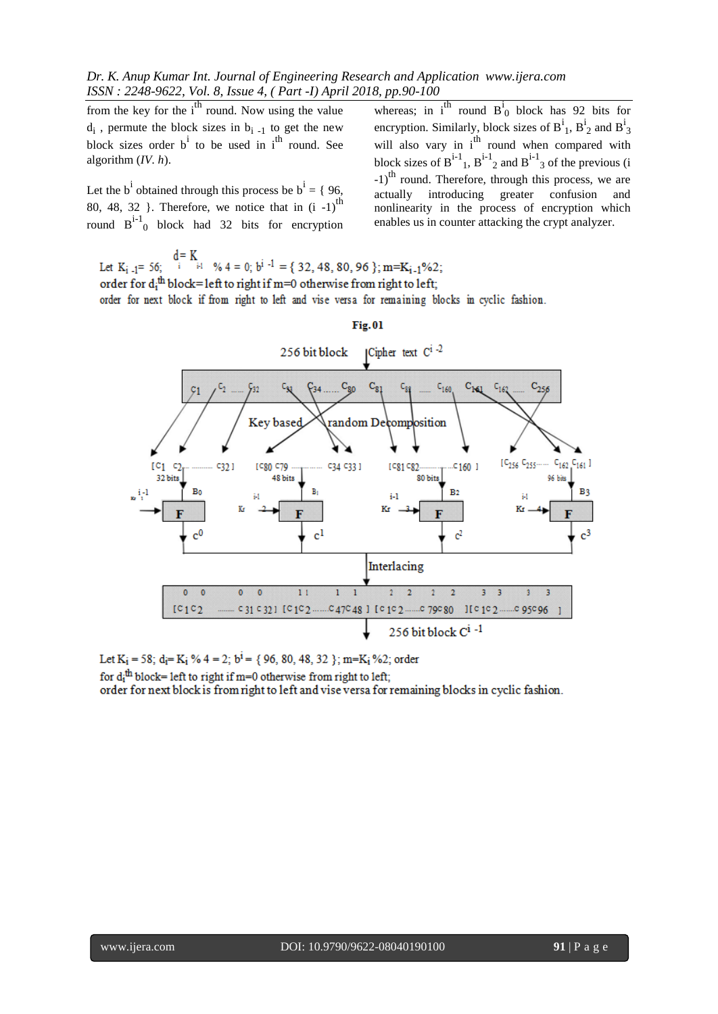from the key for the  $i<sup>th</sup>$  round. Now using the value  $d_i$ , permute the block sizes in  $b_{i-1}$  to get the new block sizes order  $b^i$  to be used in  $i^{\text{th}}$  round. See algorithm (*IV. h*).

Let the b<sup>i</sup> obtained through this process be  $b^i = \{96,$ 80, 48, 32 }. Therefore, we notice that in  $(i -1)$ <sup>th</sup> round  $B^{i-1}$ <sub>0</sub> block had 32 bits for encryption

whereas; in  $i^{\text{th}}$  round  $B^i$ <sub>0</sub> block has 92 bits for encryption. Similarly, block sizes of  $B^i_1$ ,  $B^i_2$  and  $B^i$ encryption. Similarly, block sizes of  $B_1$ ,  $B_2$  and  $B_3$  will also vary in i<sup>th</sup> round when compared with block sizes of  $B^{i-1}$ ,  $B^{i-1}$  and  $B^{i-1}$  of the previous (i -1)<sup>th</sup> round. Therefore, through this process, we are actually introducing greater confusion and nonlinearity in the process of encryption which enables us in counter attacking the crypt analyzer.

Let  $K_{i-1}$  = 56;  $i$  is  $\%$  4 = 0;  $b^{i-1}$  = { 32, 48, 80, 96 }; m= $K_{i-1}$ %2; order for d<sub>i</sub><sup>th</sup> block=left to right if m=0 otherwise from right to left; order for next block if from right to left and vise versa for remaining blocks in cyclic fashion.



# $Fig. 01$

Let  $K_i = 58$ ;  $d_i = K_i$  % 4 = 2;  $b^i = \{96, 80, 48, 32\}$ ; m= $K_i$  %2; order

for  $d_i$ <sup>th</sup> block= left to right if m=0 otherwise from right to left;

order for next block is from right to left and vise versa for remaining blocks in cyclic fashion.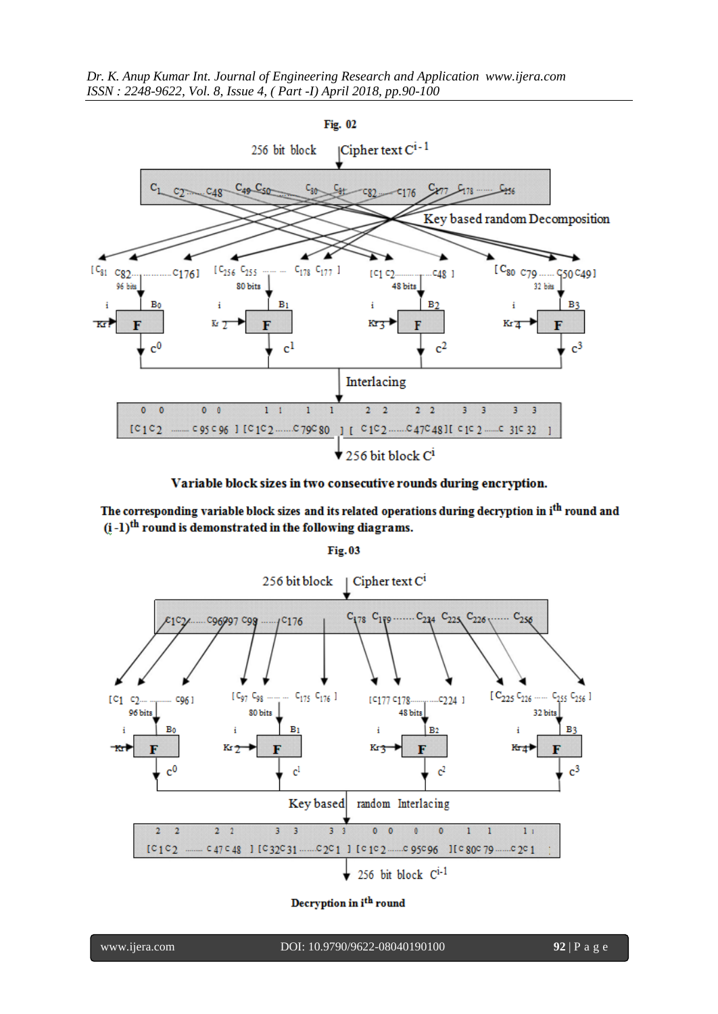

Variable block sizes in two consecutive rounds during encryption.

The corresponding variable block sizes and its related operations during decryption in i<sup>th</sup> round and  $(i-1)$ <sup>th</sup> round is demonstrated in the following diagrams.

**Fig.03** 



Decryption in i<sup>th</sup> round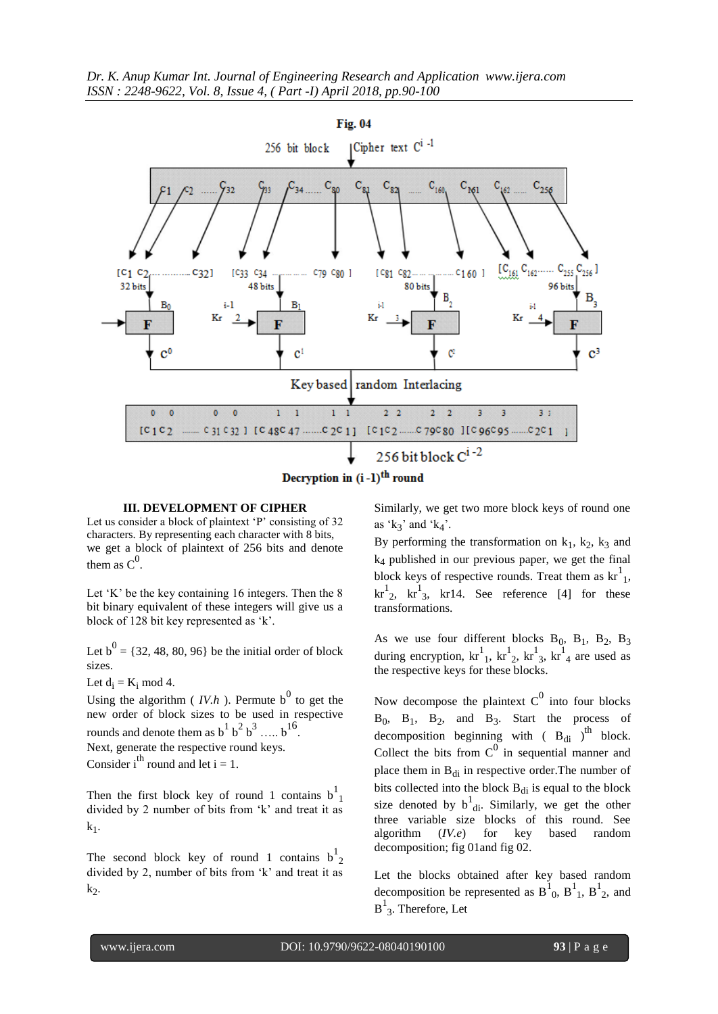*Dr. K. Anup Kumar Int. Journal of Engineering Research and Application www.ijera.com ISSN : 2248-9622, Vol. 8, Issue 4, ( Part -I) April 2018, pp.90-100*





#### **III. DEVELOPMENT OF CIPHER**

Let us consider a block of plaintext  $\langle P \rangle$  consisting of 32 characters. By representing each character with 8 bits, we get a block of plaintext of 256 bits and denote them as  $C^0$ .

Let  $K'$  be the key containing 16 integers. Then the 8 bit binary equivalent of these integers will give us a block of 128 bit key represented as 'k'.

Let  $b^0 = \{32, 48, 80, 96\}$  be the initial order of block sizes.

Let  $d_i = K_i \text{ mod } 4$ .

Using the algorithm ( $IV.h$ ). Permute b<sup>0</sup> to get the new order of block sizes to be used in respective rounds and denote them as  $b^1 b^2 b^3 \dots b^{16}$ . Next, generate the respective round keys. Consider i<sup>th</sup> round and let  $i = 1$ .

Then the first block key of round 1 contains  $b<sup>1</sup><sub>1</sub>$ divided by 2 number of bits from 'k' and treat it as  $k_1$ .

The second block key of round 1 contains  $b^1_2$ divided by 2, number of bits from 'k' and treat it as  $k_2$ .

Similarly, we get two more block keys of round one as  $k_3$ ' and  $k_4$ '.

By performing the transformation on  $k_1$ ,  $k_2$ ,  $k_3$  and k<sup>4</sup> published in our previous paper, we get the final block keys of respective rounds. Treat them as  $\text{kr}^{1}_{1}$ ,  $\text{kr}^1_2$ ,  $\text{kr}^1_3$ ,  $\text{kr}^1_4$ . See reference [4] for these transformations.

As we use four different blocks  $B_0$ ,  $B_1$ ,  $B_2$ ,  $B_3$ during encryption,  $kr_1^1$ ,  $kr_2^1$ ,  $kr_3^1$ ,  $kr_4^1$  are used as the respective keys for these blocks.

Now decompose the plaintext  $C^0$  into four blocks B<sub>0</sub>, B<sub>1</sub>, B<sub>2</sub>, and B<sub>3</sub>. Start the process of decomposition beginning with  $(B_{di})^{th}$  block. Collect the bits from  $C^0$  in sequential manner and place them in  $B_{di}$  in respective order. The number of bits collected into the block  $B_{di}$  is equal to the block size denoted by  $b^1_{\text{di}}$ . Similarly, we get the other three variable size blocks of this round. See algorithm (*IV.e*) for key based random decomposition; fig 01and fig 02.

Let the blocks obtained after key based random decomposition be represented as  $B_{0}^{1}$ ,  $B_{1}^{1}$ ,  $B_{2}^{1}$ , and  $B^1_3$ . Therefore, Let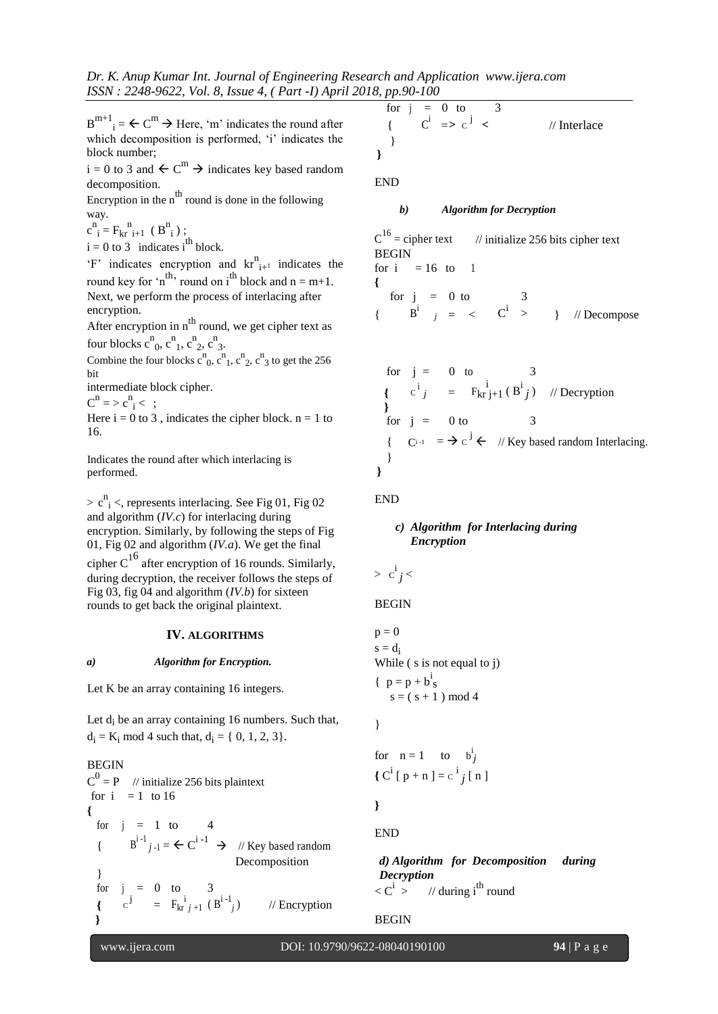*Dr. K. Anup Kumar Int. Journal of Engineering Research and Application www.ijera.com ISSN : 2248-9622, Vol. 8, Issue 4, ( Part -I) April 2018, pp.90-100*

 $B^{m+1}$ <sub>i</sub> =  $\leftarrow C^m$   $\rightarrow$  Here, 'm' indicates the round after which decomposition is performed, 'i' indicates the block number;

 $i = 0$  to 3 and  $\leftarrow C^{m} \rightarrow$  indicates key based random decomposition.

Encryption in the  $n^{\text{th}}$  round is done in the following way.

 $c^{n}$ <sub>i</sub> = F<sub>kr</sub><sup>n</sup><sub>i+1</sub> (B<sup>n</sup><sub>i</sub>);

 $i = 0$  to 3 indicates i<sup>th</sup> block.

 $F'$  indicates encryption and  $kr_{i+1}^{n}$  indicates the round key for 'n<sup>th</sup>, round on i<sup>th</sup> block and  $n = m+1$ . Next, we perform the process of interlacing after encryption.

After encryption in  $n^{\text{th}}$  round, we get cipher text as four blocks  $c^n_0$ ,  $c^n_1$ ,  $c^n_2$ ,  $c^n_3$ .

Combine the four blocks  $c^n_0$ ,  $c^n_1$ ,  $c^n_2$ ,  $c^n_3$  to get the 256 bit

intermediate block cipher.

 $C^n = > c^n_i < ;$ 

Here  $i = 0$  to 3, indicates the cipher block.  $n = 1$  to 16.

Indicates the round after which interlacing is performed.

 $> c^n$ <sub>i</sub> <, represents interlacing. See Fig 01, Fig 02 and algorithm (*IV.c*) for interlacing during encryption. Similarly, by following the steps of Fig 01, Fig 02 and algorithm (*IV.a*). We get the final cipher  $C^{16}$  after encryption of 16 rounds. Similarly, during decryption, the receiver follows the steps of Fig 03, fig 04 and algorithm (*IV.b*) for sixteen rounds to get back the original plaintext.

#### **IV. ALGORITHMS**

#### *a) Algorithm for Encryption.*

Let K be an array containing 16 integers.

Let d<sub>i</sub> be an array containing 16 numbers. Such that,  $d_i = K_i \text{ mod } 4$  such that,  $d_i = \{ 0, 1, 2, 3 \}.$ 

BEGIN  $C^0 = P$  // initialize 256 bits plaintext for  $i = 1$  to 16 **{** for  $i = 1$  to  $\begin{array}{lll} \{ & \text{B}^{i-1}{}_{j-1} = \leftarrow \text{C}^{i-1} \rightarrow \mathbb{Z} \text{ (} \text{Key based random}) \end{array}$ } Decomposition for  $j = 0$  to 3 {  $c^{j} = F_{kr}^{i}{}_{j+1} (B^{i-1}{}_{j}$ // Encryption **}**

$$
\begin{array}{ccc}\n\text{for } j = 0 \text{ to} & 3 \\
\{\n\begin{array}{ccc}\nc^{i} & \Rightarrow c^{j} < \\
\end{array}\n\}\n\end{array}\n\quad \text{[Interlace]}
$$

END

#### *b) Algorithm for Decryption*

 $C^{16}$  = cipher text  $//$  initialize 256 bits cipher text BEGIN for  $i = 16$  to 1 **{** for  $j = 0$  to {  $B^{i}$  *j* = <  $C^{i}$ > } // Decompose

for 
$$
j = 0
$$
 to  $3$   
\n ${c^i j = F_{kr} j+1 (B^i j) \t // Deryption }$   
\nfor  $j = 0$  to  $3$   
\n ${C^{i-1}} = \rightarrow c^j \leftarrow \t // Key based random Interlacing. }$ 

#### END

**}**

#### *c) Algorithm for Interlacing during Encryption*

$$
> \mathbf{c}^{\mathbf{i}}j <
$$

BEGIN

$$
p = 0
$$
  
s = d<sub>i</sub>  
While ( s is not equal to j)  
{ $p = p + b$ <sup>i</sup><sub>s</sub>  
s = ( s + 1 ) mod 4

}

for 
$$
n = 1
$$
 to  $b_j^i$   
{ $C^i [p+n] = c^i j[n]$ 

**}**

END

*d) Algorithm for Decomposition during Decryption*  $\langle C^i \rangle$  // during i<sup>th</sup> round

#### BEGIN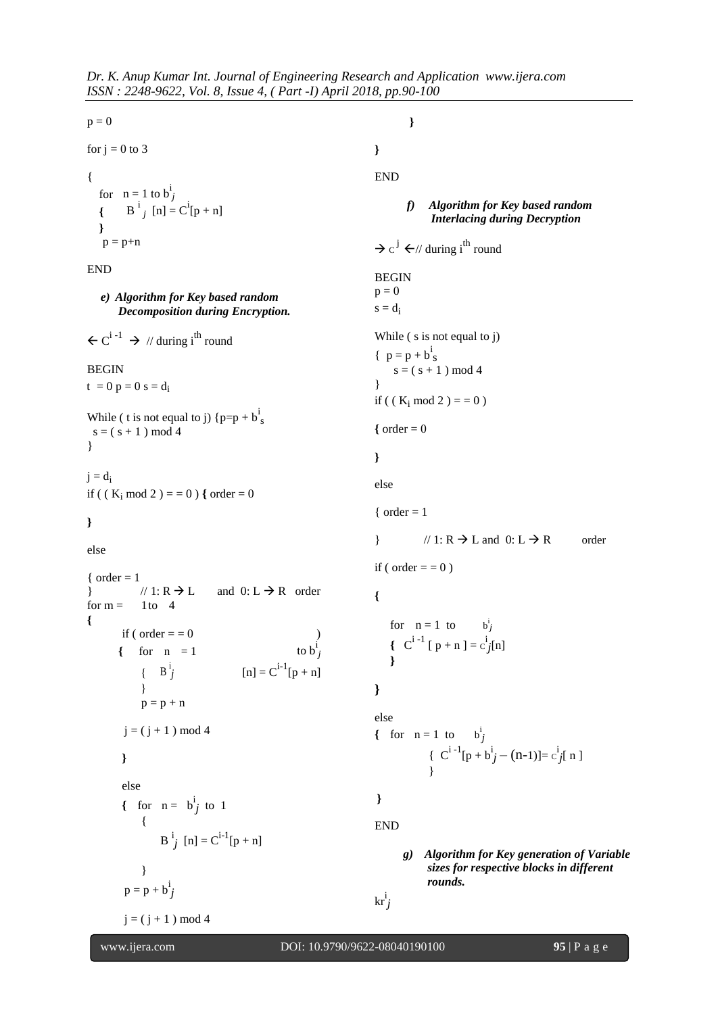```
p = 0for j = 0 to 3
{
   for n = 1 to b^i_j{B<sup>i</sup><sub>j</sub>[n] = C<sup>i</sup>[p + n]
   }
   p = p+nEND
   e) Algorithm for Key based random 
       Decomposition during Encryption.
\leftarrow C<sup>i-1</sup> \rightarrow // during i<sup>th</sup> round
BEGIN
t = 0 p = 0 s = d_iWhile ( t is not equal to j) {p=p+b\frac{1}{s}}s = (s + 1) \mod 4}
j = d_iif ( (K_i \mod 2) = 0 ) { order = 0}
else
{ order = 1\vert // 1: R \rightarrow L and 0: L \rightarrow R order
for m = 1 to 4
{
        if ( order = = = 0
       \{ for n = 1to b^i<sub>j</sub>
             \left\{\right. B<sup>i</sup>
                     j [n] = C^{i-1}[p + n]}
             p = p + nj = (j + 1) \mod 4}
        else
         { for n = b^i_j to 1
             {
                  B^{i}j [n] = C^{i-1}[p + n]}
         p = p + b^i_jj = (j + 1) \mod 4}
                                                                     }
                                                                     END
                                                                             f) Algorithm for Key based random 
                                                                                   Interlacing during Decryption
                                                                      \rightarrow c<sup>j</sup> \leftarrow// during i<sup>th</sup> round
                                                                     BEGIN
                                                                     p = 0s = d_iWhile ( s is not equal to j)
                                                                      {p = p + b^i<sub>S</sub>
                                                                          s = (s + 1) \mod 4}
                                                                     if ( ( K_i mod 2 ) = = 0 )
                                                                     \{ order = 0}
                                                                     else
                                                                     { order = 1\{ \mid \text{if } R \to L \text{ and } 0: L \to R \} order
                                                                     if ( order = = \theta )
                                                                     {
                                                                         for n = 1 to
                                                                                                 i
                                                                                                 j
                                                                         {
C^{i-1} [ p + n ] = c^{i}_{j}[n]
                                                                         }
                                                                     }
                                                                     else
                                                                      { for n = 1 to b_j^j{C^{i-1}[p + b^i j - (n-1)] = c^i j [n]}
                                                                      }
                                                                     END
                                                                            g) Algorithm for Key generation of Variable 
                                                                                  sizes for respective blocks in different 
                                                                                  rounds.
                                                                      kri
j
```
www.ijera.com DOI: 10.9790/9622-08040190100 **95** | P a g e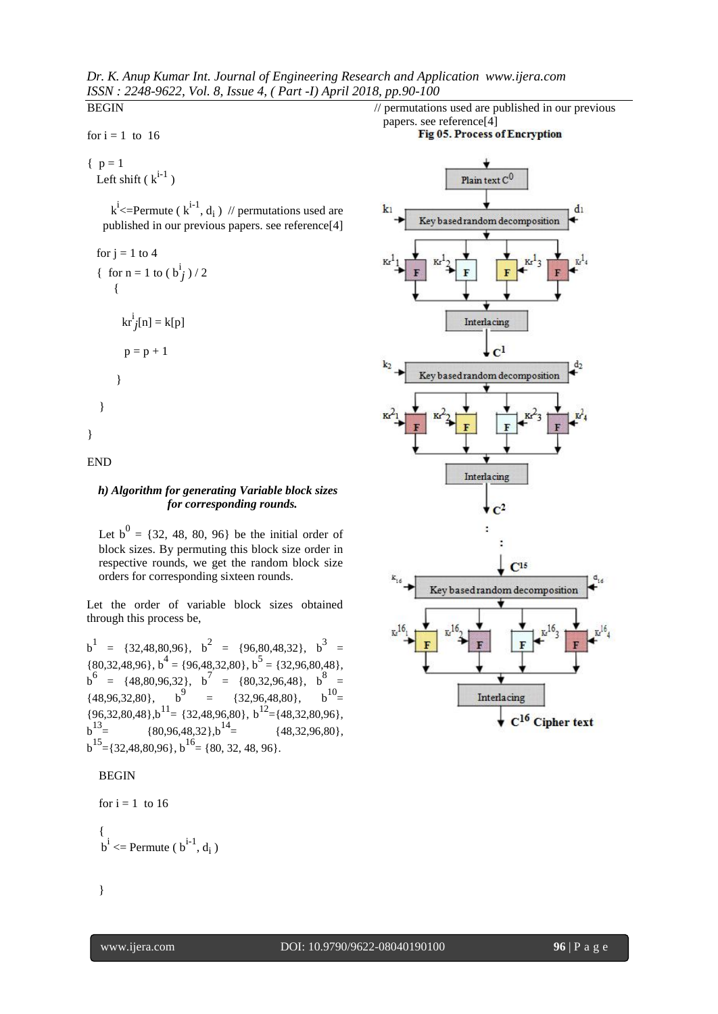*Dr. K. Anup Kumar Int. Journal of Engineering Research and Application www.ijera.com ISSN : 2248-9622, Vol. 8, Issue 4, ( Part -I) April 2018, pp.90-100* **BEGIN** 

for  $i = 1$  to 16

 ${ p = 1 }$ Left shift  $(k^{i-1})$ 

> $k^i$  <=Permute ( $k^{i-1}$ ,  $d_i$ ) // permutations used are published in our previous papers. see reference[4]

for  $j = 1$  to 4 { for  $n = 1$  to  $(b_j^i)/2$ {  $\operatorname{kr}^{\mathrm{i}}_{\mathcal{J}}[n] = \mathrm{k}[p]$  $p = p + 1$ } } }

END

#### *h) Algorithm for generating Variable block sizes for corresponding rounds.*

Let  $b^0 = \{32, 48, 80, 96\}$  be the initial order of block sizes. By permuting this block size order in respective rounds, we get the random block size orders for corresponding sixteen rounds.

Let the order of variable block sizes obtained through this process be,

 $b^1$  = {32,48,80,96},  $b^2$  = {96,80,48,32},  $b^3$  =  $\{80,32,48,96\}, b^4 = \{96,48,32,80\}, b^5 = \{32,96,80,48\},$  $b^6 = \{48, 80, 96, 32\}, b^7 = \{80, 32, 96, 48\}, b^8 =$  $\{48,96,32,80\},\,$  b<sup>9</sup> =  $\{32,96,48,80\},\,$  b<sup>10</sup> =  ${96,32,80,48}$ ,  $b^{11} = {32,48,96,80}$ ,  $b^{12} = {48,32,80,96}$ ,  $b^{13}$  = {80,96,48,32}, $b^{14}$  = {48,32,96,80},  $b^{15}$  = {32,48,80,96},  $b^{16}$  = {80, 32, 48, 96}.

#### BEGIN

```
for i = 1 to 16
{
 b^i <= Permute (b^{i-1}, d<sub>i</sub>)
```




י

}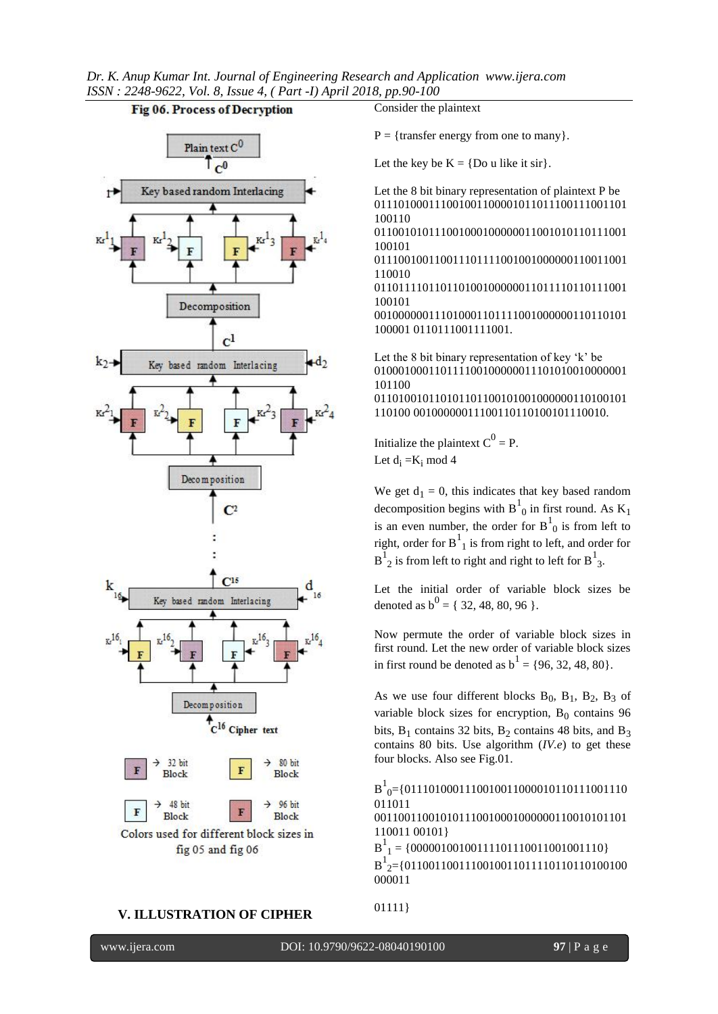*Dr. K. Anup Kumar Int. Journal of Engineering Research and Application www.ijera.com ISSN : 2248-9622, Vol. 8, Issue 4, ( Part -I) April 2018, pp.90-100*

#### Fig 06. Process of Decryption



#### **V. ILLUSTRATION OF CIPHER**

Consider the plaintext

 $P = {transfer energy from one to many}.$ 

Let the key be  $K = \{Do \text{ u like it sir}\}.$ 

Let the 8 bit binary representation of plaintext P be 011101000111001001100001011011100111001101 100110

011001010111001000100000011001010110111001 100101

011100100110011101111001001000000110011001 110010

011011110110110100100000011011110110111001 100101

001000000111010001101111001000000110110101 100001 0110111001111001.

Let the 8 bit binary representation of key  $k$ ' be 010001000110111100100000011101010010000001 101100 011010010110101101100101001000000110100101 110100 00100000011100110110100101110010.

Initialize the plaintext  $C^0 = P$ . Let  $d_i = K_i \text{ mod } 4$ 

We get  $d_1 = 0$ , this indicates that key based random decomposition begins with  $B_{0}^{1}$  in first round. As  $K_{1}$ is an even number, the order for  $B_{0}^{1}$  is from left to right, order for  $B^1_{1}$  is from right to left, and order for  $B^1_2$  is from left to right and right to left for  $B^1_3$ .

Let the initial order of variable block sizes be denoted as  $b^0 = \{32, 48, 80, 96 \}$ .

Now permute the order of variable block sizes in first round. Let the new order of variable block sizes in first round be denoted as  $b^1 = \{96, 32, 48, 80\}.$ 

As we use four different blocks  $B_0$ ,  $B_1$ ,  $B_2$ ,  $B_3$  of variable block sizes for encryption,  $B_0$  contains 96 bits,  $B_1$  contains 32 bits,  $B_2$  contains 48 bits, and  $B_3$ contains 80 bits. Use algorithm (*IV.e*) to get these four blocks. Also see Fig.01.

B 1 <sup>0</sup>={0111010001110010011000010110111001110 011011

001100110010101110010001000000110010101101 110011 00101}

 $B_1^1$  = {00000100100111101110011001001110}  $B^{1}_{2}$ ={0110011001110010011011110110110100100 000011

```
01111}
```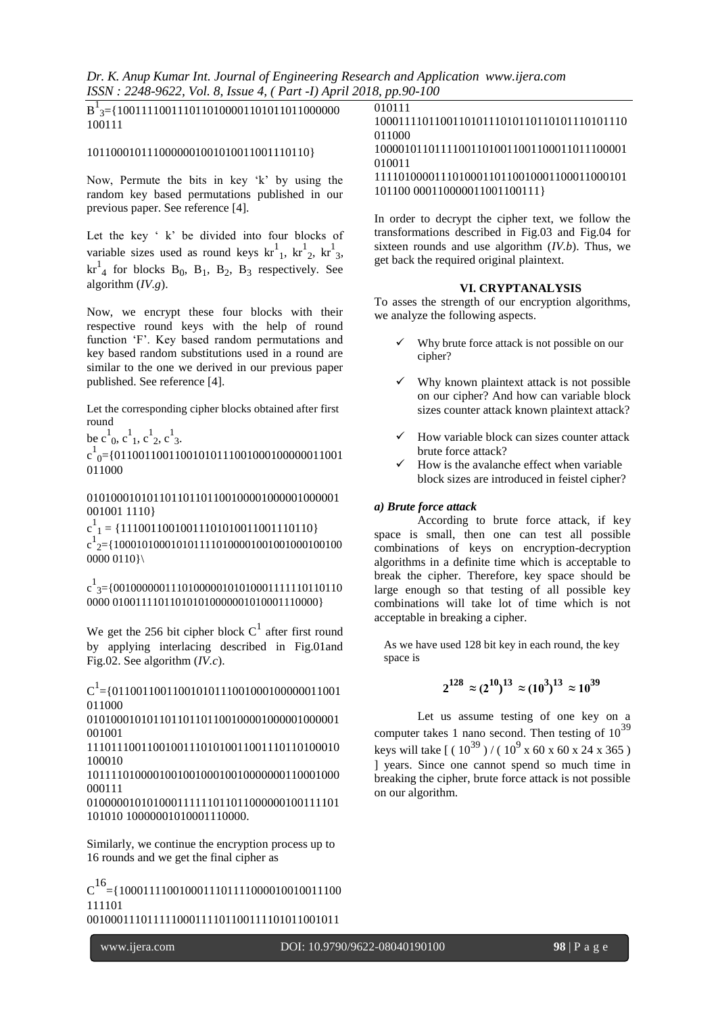*Dr. K. Anup Kumar Int. Journal of Engineering Research and Application www.ijera.com ISSN : 2248-9622, Vol. 8, Issue 4, ( Part -I) April 2018, pp.90-100*

| $B1$ <sub>3</sub> = {1001111001110110100001101011011000000<br>100111 | 010111   |
|----------------------------------------------------------------------|----------|
|                                                                      | 10001111 |
|                                                                      |          |

#### 1011000101110000001001010011001110110}

Now, Permute the bits in key 'k' by using the random key based permutations published in our previous paper. See reference [4].

Let the key ' k' be divided into four blocks of variable sizes used as round keys  $\text{kr}^1_1$ ,  $\text{kr}^1_2$ ,  $\text{kr}^1_3$ ,  $\text{kr}_{4}^{1}$  for blocks  $B_{0}$ ,  $B_{1}$ ,  $B_{2}$ ,  $B_{3}$  respectively. See algorithm (*IV.g*).

Now, we encrypt these four blocks with their respective round keys with the help of round function 'F'. Key based random permutations and key based random substitutions used in a round are similar to the one we derived in our previous paper published. See reference [4].

Let the corresponding cipher blocks obtained after first round

be  $c^1_0$ ,  $c^1_1$ ,  $c^1_2$ ,  $c^1_3$ .

 $c^{1}_{0}$ ={011001100110010101111001000100000011001 011000

010100010101101101101100100001000001000001 001001 1110}

 $c_{1}^{1}$  = {111001100100111010011001110110}

c 1 2={1000101000101011110100001001001000100100 0000 0110}\

c 1 3={0010000001110100000101010001111110110110 0000 010011110110101010000001010001110000}

We get the 256 bit cipher block  $C^1$  after first round by applying interlacing described in Fig.01and Fig.02. See algorithm (*IV.c*).

 $C^1$  = {01100110011001010111001000100000011001 011000

010100010101101101100100001000001000001 001001

111011100110010011101010011001110110100010 100010

101111010000100100100010010000000110001000 000111

010000010101000111111011011000000100111101 101010 10000001010001110000.

Similarly, we continue the encryption process up to 16 rounds and we get the final cipher as

 $C^{16}$ ={1000111100100011101111000010010011100 111101

001000111011111000111101100111101011001011

```
0110011010111010110101110101110
011000
```
100001011011110011010011001100011011100001 010011

111101000011101000110110010001100011000101 101100 000110000011001100111}

In order to decrypt the cipher text, we follow the transformations described in Fig.03 and Fig.04 for sixteen rounds and use algorithm (*IV.b*). Thus, we get back the required original plaintext.

#### **VI. CRYPTANALYSIS**

To asses the strength of our encryption algorithms, we analyze the following aspects.

- Why brute force attack is not possible on our cipher?
- Why known plaintext attack is not possible on our cipher? And how can variable block sizes counter attack known plaintext attack?
- How variable block can sizes counter attack brute force attack?
- How is the avalanche effect when variable block sizes are introduced in feistel cipher?

#### *a) Brute force attack*

According to brute force attack, if key space is small, then one can test all possible combinations of keys on encryption-decryption algorithms in a definite time which is acceptable to break the cipher. Therefore, key space should be large enough so that testing of all possible key combinations will take lot of time which is not acceptable in breaking a cipher.

As we have used 128 bit key in each round, the key space is

$$
2^{128} \approx (2^{10})^{13} \approx (10^3)^{13} \approx 10^{39}
$$

Let us assume testing of one key on a computer takes 1 nano second. Then testing of  $10^{39}$ keys will take  $[(10^{39})/(10^9 \times 60 \times 60 \times 24 \times 365)]$ ] years. Since one cannot spend so much time in breaking the cipher, brute force attack is not possible on our algorithm.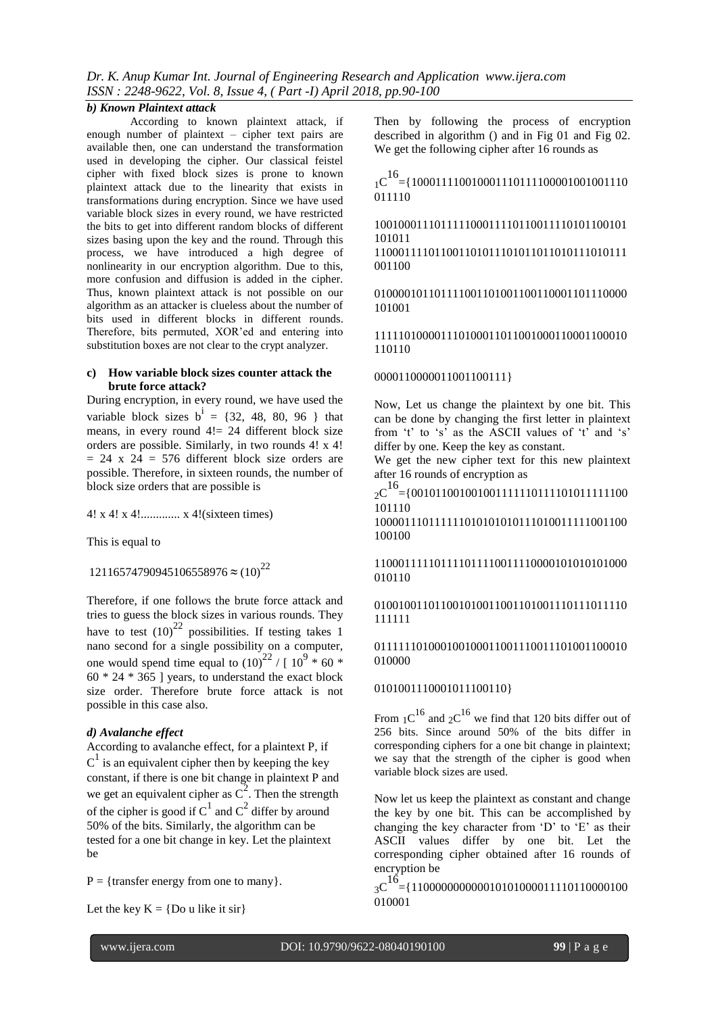#### *b) Known Plaintext attack*

According to known plaintext attack, if enough number of plaintext – cipher text pairs are available then, one can understand the transformation used in developing the cipher. Our classical feistel cipher with fixed block sizes is prone to known plaintext attack due to the linearity that exists in transformations during encryption. Since we have used variable block sizes in every round, we have restricted the bits to get into different random blocks of different sizes basing upon the key and the round. Through this process, we have introduced a high degree of nonlinearity in our encryption algorithm. Due to this, more confusion and diffusion is added in the cipher. Thus, known plaintext attack is not possible on our algorithm as an attacker is clueless about the number of bits used in different blocks in different rounds. Therefore, bits permuted, XOR'ed and entering into substitution boxes are not clear to the crypt analyzer.

#### **c) How variable block sizes counter attack the brute force attack?**

During encryption, in every round, we have used the variable block sizes  $b^i = \{32, 48, 80, 96\}$  that means, in every round  $4! = 24$  different block size orders are possible. Similarly, in two rounds 4! x 4!  $= 24$  x 24 = 576 different block size orders are possible. Therefore, in sixteen rounds, the number of block size orders that are possible is

4! x 4! x 4!............. x 4!(sixteen times)

This is equal to

12116574790945106558976 **≈** (10)<sup>22</sup>

Therefore, if one follows the brute force attack and tries to guess the block sizes in various rounds. They have to test  $(10)^{22}$  possibilities. If testing takes 1 nano second for a single possibility on a computer, one would spend time equal to  $(10)^{22} / [10^9 * 60 *$  $60 * 24 * 365$  ] years, to understand the exact block size order. Therefore brute force attack is not possible in this case also.

#### *d) Avalanche effect*

According to avalanche effect, for a plaintext P, if  $C^1$  is an equivalent cipher then by keeping the key constant, if there is one bit change in plaintext P and we get an equivalent cipher as  $\overline{C}^2$ . Then the strength of the cipher is good if  $C^1$  and  $C^2$  differ by around 50% of the bits. Similarly, the algorithm can be tested for a one bit change in key. Let the plaintext be

 $P = {transfer energy from one to many}.$ 

Let the key  $K = \{Do \text{ u like it sir}\}\$ 

Then by following the process of encryption described in algorithm () and in Fig 01 and Fig 02. We get the following cipher after 16 rounds as

 $_{1}C^{16}$  = {10001111100100011101111100001001001110 011110

100100011101111100011110110011110101100101 101011

110001111011001101011101011011010111010111 001100

010000101101111001101001100110001101110000 101001

111110100001110100011011001000110001100010 110110

0000110000011001100111}

Now, Let us change the plaintext by one bit. This can be done by changing the first letter in plaintext from 't' to 's' as the ASCII values of 't' and 's' differ by one. Keep the key as constant.

We get the new cipher text for this new plaintext after 16 rounds of encryption as

 $_{2}C^{16}$  = {00101100100100111111011111010111111100 101110

100001110111111010101010111010011111001100 100100

110001111101111011110011110000101010101000 010110

#### 010010011011001010011001101001110111011110 111111

#### 011111101000100100011001110011101001100010 010000

#### 0101001110001011100110}

From  $1^{\text{C}}$  and  $2^{\text{C}}$  we find that 120 bits differ out of 256 bits. Since around 50% of the bits differ in corresponding ciphers for a one bit change in plaintext; we say that the strength of the cipher is good when variable block sizes are used.

Now let us keep the plaintext as constant and change the key by one bit. This can be accomplished by changing the key character from  $\Delta$  to  $\widehat{E}$  as their ASCII values differ by one bit. Let the corresponding cipher obtained after 16 rounds of encryption be

 $3C^{16}$  = {110000000000010101000011110110000100 010001